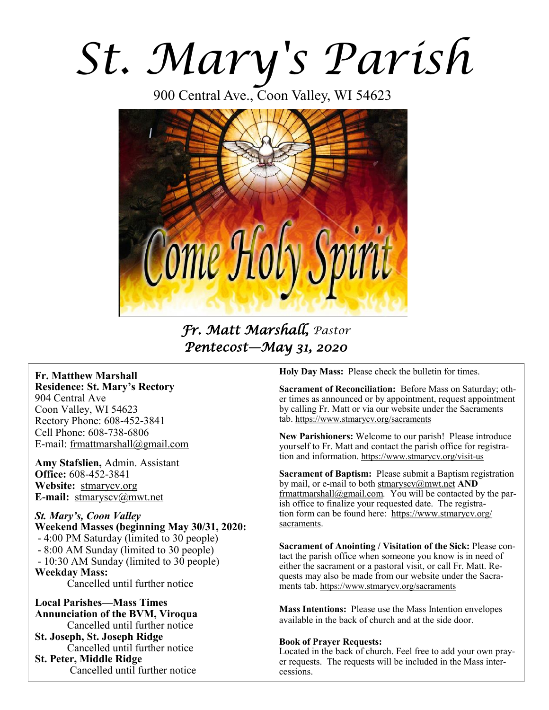# *St. Mary's Parish*

900 Central Ave., Coon Valley, WI 54623



*Fr. Matt Marshall, Pastor Pentecost—May 31, 2020* 

**Fr. Matthew Marshall Residence: St. Mary's Rectory** 904 Central Ave Coon Valley, WI 54623 Rectory Phone: 608-452-3841 Cell Phone: 608-738-6806 E-mail: [frmattmarshall@gmail.com](mailto:frmattmarshall@gmail.com)

**Amy Stafslien,** Admin. Assistant **Office:** 608-452-3841 **Website:** <stmarycv.org> **E-mail:** [stmaryscv@mwt.net](mailto:stmaryscv@mwt.net)

*St. Mary's, Coon Valley*  **Weekend Masses (beginning May 30/31, 2020:** - 4:00 PM Saturday (limited to 30 people) - 8:00 AM Sunday (limited to 30 people) - 10:30 AM Sunday (limited to 30 people) **Weekday Mass:**  Cancelled until further notice

**Local Parishes—Mass Times Annunciation of the BVM, Viroqua** Cancelled until further notice **St. Joseph, St. Joseph Ridge** Cancelled until further notice **St. Peter, Middle Ridge** Cancelled until further notice

**Holy Day Mass:** Please check the bulletin for times.

**Sacrament of Reconciliation:** Before Mass on Saturday; other times as announced or by appointment, request appointment by calling Fr. Matt or via our website under the Sacraments tab. <https://www.stmarycv.org/sacraments>

**New Parishioners:** Welcome to our parish! Please introduce yourself to Fr. Matt and contact the parish office for registration and information. <https://www.stmarycv.org/visit-us>

**Sacrament of Baptism:** Please submit a Baptism registration by mail, or e-mail to both [stmaryscv@mwt.net](mailto:stmaryscv@mwt.net) **AND** [frmattmarshall@gmail.com](mailto:frmattmarshall@gmail.com)*.* You will be contacted by the parish office to finalize your requested date. The registration form can be found here: [https://www.stmarycv.org/](https://www.stmarycv.org/sacraments) [sacraments.](https://www.stmarycv.org/sacraments) 

**Sacrament of Anointing / Visitation of the Sick:** Please contact the parish office when someone you know is in need of either the sacrament or a pastoral visit, or call Fr. Matt. Requests may also be made from our website under the Sacraments tab. <https://www.stmarycv.org/sacraments>

**Mass Intentions:** Please use the Mass Intention envelopes available in the back of church and at the side door.

#### **Book of Prayer Requests:**

Located in the back of church. Feel free to add your own prayer requests. The requests will be included in the Mass intercessions.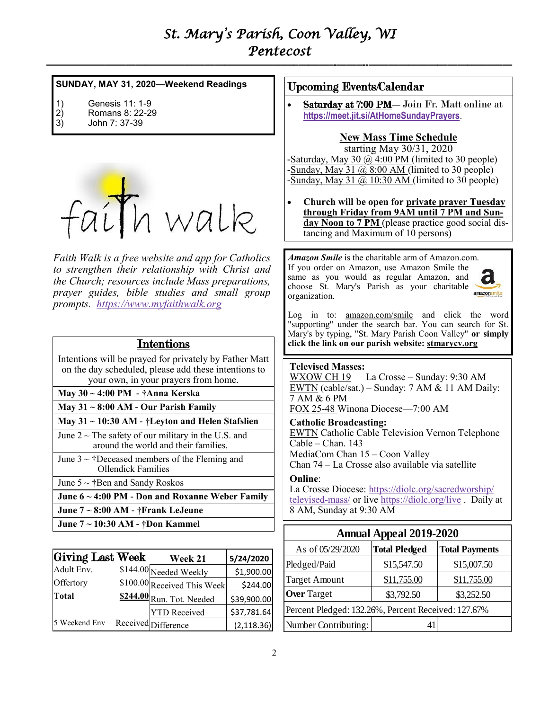## *St. Mary's Parish, Coon Valley, WI Pentecost*

**—————————————————————————–———–-——–--—————————————–—**

#### **SUNDAY, MAY 31, 2020—Weekend Readings**

- 1) Genesis 11: 1-9<br>2) Romans 8: 22-2
- 2) Romans 8: 22-29 3) John 7: 37-39
- 



*Faith Walk is a free website and app for Catholics to strengthen their relationship with Christ and the Church; resources include Mass preparations, prayer guides, bible studies and small group prompts. [https://www.myfaithwalk.org](https://www.myfaithwalk.org/)*

#### Intentions

 Intentions will be prayed for privately by Father Matt on the day scheduled, please add these intentions to your own, in your prayers from home.

**May 30 ~ 4:00 PM - †Anna Kerska**

**May 31 ~ 8:00 AM - Our Parish Family**

**May 31 ~ 10:30 AM - †Leyton and Helen Stafslien**

June  $2 \sim$  The safety of our military in the U.S. and around the world and their families.

June  $3 \sim \text{†}$ Deceased members of the Fleming and Ollendick Families

- June 5 ~ **†**Ben and Sandy Roskos
- **June 6 ~ 4:00 PM - Don and Roxanne Weber Family**
- **June 7 ~ 8:00 AM - †Frank LeJeune**
- **June 7 ~ 10:30 AM - †Don Kammel**

| Giving Last Week | Week 21                     | 5/24/2020   |
|------------------|-----------------------------|-------------|
| Adult Env.       | \$144.00 Needed Weekly      | \$1,900.00  |
| Offertory        | \$100.00 Received This Week | \$244.00    |
| <b>Total</b>     | S244.00 Run. Tot. Needed    | \$39,900.00 |
|                  | <b>YTD</b> Received         | \$37,781.64 |
| 5 Weekend Env    | Received Difference         | (2, 118.36) |

#### Upcoming Events/Calendar

Saturday at 7:00 PM - Join Fr. Matt online at **<https://meet.jit.si/AtHomeSundayPrayers>**.

#### **New Mass Time Schedule**

starting May 30/31, 2020 -Saturday, May 30  $\omega$  4:00 PM (limited to 30 people) -Sunday, May 31  $\omega$  8:00 AM (limited to 30 people) -Sunday, May 31  $\omega$  10:30 AM (limited to 30 people)

• **Church will be open for private prayer Tuesday through Friday from 9AM until 7 PM and Sunday Noon to 7 PM** (please practice good social distancing and Maximum of  $10$  persons)

*Amazon Smile* is the charitable arm of Amazon.com. If you order on Amazon, use Amazon Smile the same as you would as regular Amazon, and choose St. Mary's Parish as your charitable organization.



Log in to: [amazon.com/smile](http://amazon.com/smile) and click the word "supporting" under the search bar. You can search for St. Mary's by typing, "St. Mary Parish Coon Valley" **or simply click the link on our parish website:<stmarycv.org>**

#### **Televised Masses:**

WXOW CH 19 La Crosse – Sunday: 9:30 AM EWTN (cable/sat.) – Sunday: 7 AM & 11 AM Daily: 7 AM & 6 PM

FOX 25-48 Winona Diocese—7:00 AM

**Catholic Broadcasting:** EWTN Catholic Cable Television Vernon Telephone Cable – Chan. 143 MediaCom Chan 15 – Coon Valley Chan 74 – La Crosse also available via satellite

#### **Online**:

La Crosse Diocese: [https://diolc.org/sacredworship/](https://diolc.org/sacredworship/televised-mass/) [televised-mass/](https://diolc.org/sacredworship/televised-mass/) or live <https://diolc.org/live> . Daily at 8 AM, Sunday at 9:30 AM

| <b>Annual Appeal 2019-2020</b>                      |                      |                       |  |  |
|-----------------------------------------------------|----------------------|-----------------------|--|--|
| As of 05/29/2020                                    | <b>Total Pledged</b> | <b>Total Payments</b> |  |  |
| Pledged/Paid                                        | \$15,547.50          | \$15,007.50           |  |  |
| <b>Target Amount</b>                                | \$11,755.00          | \$11,755.00           |  |  |
| <b>Over Target</b>                                  | \$3,792.50           | \$3,252.50            |  |  |
| Percent Pledged: 132.26%, Percent Received: 127.67% |                      |                       |  |  |
| Number Contributing:                                | 41                   |                       |  |  |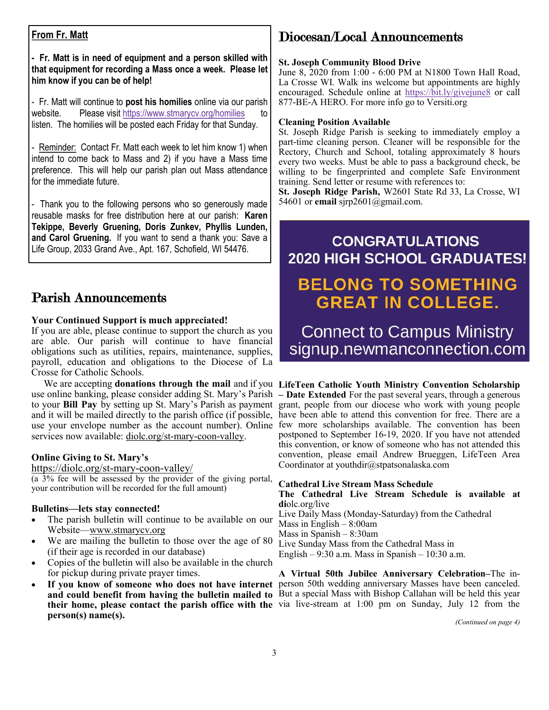#### **From Fr. Matt**

**- Fr. Matt is in need of equipment and a person skilled with that equipment for recording a Mass once a week. Please let him know if you can be of help!**

- Fr. Matt will continue to **post his homilies** online via our parish website. Please visit <https://www.stmarycv.org/homilies> listen. The homilies will be posted each Friday for that Sunday.

- Reminder: Contact Fr. Matt each week to let him know 1) when intend to come back to Mass and 2) if you have a Mass time preference. This will help our parish plan out Mass attendance for the immediate future.

- Thank you to the following persons who so generously made reusable masks for free distribution here at our parish: **Karen Tekippe, Beverly Gruening, Doris Zunkev, Phyllis Lunden, and Carol Gruening.** If you want to send a thank you: Save a Life Group, 2033 Grand Ave., Apt. 167, Schofield, WI 54476.

#### Parish Announcements

#### **Your Continued Support is much appreciated!**

If you are able, please continue to support the church as you are able. Our parish will continue to have financial obligations such as utilities, repairs, maintenance, supplies, payroll, education and obligations to the Diocese of La Crosse for Catholic Schools.

 We are accepting **donations through the mail** and if you **LifeTeen Catholic Youth Ministry Convention Scholarship**  and it will be mailed directly to the parish office (if possible, services now available: [diolc.org/st-mary-coon-valley.](http://www.diolc.org/st-mary-coon-valley)

#### **Online Giving to St. Mary's**

<https://diolc.org/st-mary-coon-valley/>

(a 3% fee will be assessed by the provider of the giving portal, your contribution will be recorded for the full amount)

#### **Bulletins—lets stay connected!**

- The parish bulletin will continue to be available on our Website[—www.stmarycv.org](http://www.stmarycv.org)
- We are mailing the bulletin to those over the age of 80 (if their age is recorded in our database)
- Copies of the bulletin will also be available in the church for pickup during private prayer times.
- **person(s) name(s).**

### Diocesan/Local Announcements

#### **St. Joseph Community Blood Drive**

June 8, 2020 from 1:00 - 6:00 PM at N1800 Town Hall Road, La Crosse WI. Walk ins welcome but appointments are highly encouraged. Schedule online at [https://bit.ly/givejune8](https://donate.wisconsin.versiti.org/donor/schedules/drive_schedule/207098) or call 877-BE-A HERO. For more info go to Versiti.org

#### **Cleaning Position Available**

St. Joseph Ridge Parish is seeking to immediately employ a part-time cleaning person. Cleaner will be responsible for the Rectory, Church and School, totaling approximately 8 hours every two weeks. Must be able to pass a background check, be willing to be fingerprinted and complete Safe Environment training. Send letter or resume with references to:

**St. Joseph Ridge Parish,** W2601 State Rd 33, La Crosse, WI 54601 or **email** sjrp2601@gmail.com.

## **CONGRATULATIONS 2020 HIGH SCHOOL GRADUATES! BELONG TO SOMETHING GREAT IN COLLEGE.**

**Connect to Campus Ministry** signup.newmanconnection.com

use online banking, please consider adding St. Mary's Parish **– Date Extended** For the past several years, through a generous to your **Bill Pay** by setting up St. Mary's Parish as payment grant, people from our diocese who work with young people use your envelope number as the account number). Online few more scholarships available. The convention has been have been able to attend this convention for free. There are a postponed to September 16-19, 2020. If you have not attended this convention, or know of someone who has not attended this convention, please email Andrew Brueggen, LifeTeen Area Coordinator at youthdir@stpatsonalaska.com

#### **Cathedral Live Stream Mass Schedule**

**The Cathedral Live Stream Schedule is available at di**olc.org/live Live Daily Mass (Monday-Saturday) from the Cathedral Mass in English – 8:00am Mass in Spanish – 8:30am Live Sunday Mass from the Cathedral Mass in English – 9:30 a.m. Mass in Spanish –  $10:30$  a.m.

• **If you know of someone who does not have internet**  person 50th wedding anniversary Masses have been canceled. **and could benefit from having the bulletin mailed to**  But a special Mass with Bishop Callahan will be held this year **their home, please contact the parish office with the**  via live-stream at 1:00 pm on Sunday, July 12 from the **A Virtual 50th Jubilee Anniversary Celebration–**The in-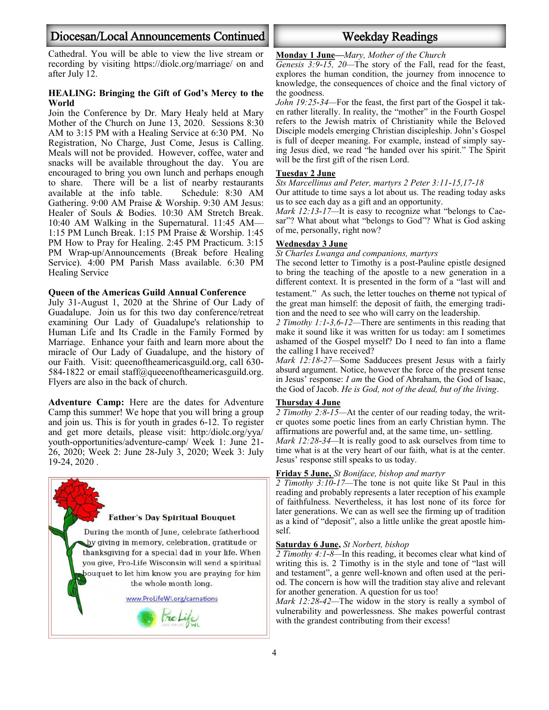#### Diocesan/Local Announcements Continued Weekday Readings

Cathedral. You will be able to view the live stream or recording by visiting https://diolc.org/marriage/ on and after July 12.

#### **HEALING: Bringing the Gift of God's Mercy to the World**

Join the Conference by Dr. Mary Healy held at Mary Mother of the Church on June 13, 2020. Sessions 8:30 AM to 3:15 PM with a Healing Service at 6:30 PM. No Registration, No Charge, Just Come, Jesus is Calling. Meals will not be provided. However, coffee, water and snacks will be available throughout the day. You are encouraged to bring you own lunch and perhaps enough to share. There will be a list of nearby restaurants available at the info table. Schedule: 8:30 AM Gathering. 9:00 AM Praise & Worship. 9:30 AM Jesus: Healer of Souls & Bodies. 10:30 AM Stretch Break. 10:40 AM Walking in the Supernatural. 11:45 AM— 1:15 PM Lunch Break. 1:15 PM Praise & Worship. 1:45 PM How to Pray for Healing. 2:45 PM Practicum. 3:15 PM Wrap-up/Announcements (Break before Healing Service). 4:00 PM Parish Mass available. 6:30 PM Healing Service

#### **Queen of the Americas Guild Annual Conference**

July 31-August 1, 2020 at the Shrine of Our Lady of Guadalupe. Join us for this two day conference/retreat examining Our Lady of Guadalupe's relationship to Human Life and Its Cradle in the Family Formed by Marriage. Enhance your faith and learn more about the miracle of Our Lady of Guadalupe, and the history of our Faith. Visit: queenoftheamericasguild.org, call 630- 584-1822 or email staff@queeenoftheamericasguild.org. Flyers are also in the back of church.

**Adventure Camp:** Here are the dates for Adventure Camp this summer! We hope that you will bring a group and join us. This is for youth in grades 6-12. To register and get more details, please visit: http:/diolc.org/yya/ youth-opportunities/adventure-camp/ Week 1: June 21- 26, 2020; Week 2: June 28-July 3, 2020; Week 3: July 19-24, 2020 .



#### **Monday 1 June—***Mary, Mother of the Church*

*Genesis 3:9-15, 20—*The story of the Fall, read for the feast, explores the human condition, the journey from innocence to knowledge, the consequences of choice and the final victory of the goodness.

*John 19:25-34—*For the feast, the first part of the Gospel it taken rather literally. In reality, the "mother" in the Fourth Gospel refers to the Jewish matrix of Christianity while the Beloved Disciple models emerging Christian discipleship. John's Gospel is full of deeper meaning. For example, instead of simply saying Jesus died, we read "he handed over his spirit." The Spirit will be the first gift of the risen Lord.

#### **Tuesday 2 June**

*Sts Marcellinus and Peter, martyrs 2 Peter 3:11-15,17-18* Our attitude to time says a lot about us. The reading today asks us to see each day as a gift and an opportunity.

*Mark 12:13-17—*It is easy to recognize what "belongs to Caesar"? What about what "belongs to God"? What is God asking of me, personally, right now?

#### **Wednesday 3 June**

*St Charles Lwanga and companions, martyrs*

The second letter to Timothy is a post-Pauline epistle designed to bring the teaching of the apostle to a new generation in a different context. It is presented in the form of a "last will and testament." As such, the letter touches on theme not typical of the great man himself: the deposit of faith, the emerging tradition and the need to see who will carry on the leadership.

*2 Timothy 1:1-3,6-12—*There are sentiments in this reading that make it sound like it was written for us today: am I sometimes ashamed of the Gospel myself? Do I need to fan into a flame the calling I have received?

*Mark 12:18-27—*Some Sadducees present Jesus with a fairly absurd argument. Notice, however the force of the present tense in Jesus' response: *I am* the God of Abraham, the God of Isaac, the God of Jacob. *He is God, not of the dead, but of the living*.

#### **Thursday 4 June**

*2 Timothy 2:8-15—*At the center of our reading today, the writer quotes some poetic lines from an early Christian hymn. The affirmations are powerful and, at the same time, un- settling.

*Mark 12:28-34—*It is really good to ask ourselves from time to time what is at the very heart of our faith, what is at the center. Jesus' response still speaks to us today.

#### **Friday 5 June,** *St Boniface, bishop and martyr*

*2 Timothy 3:10-17—*The tone is not quite like St Paul in this reading and probably represents a later reception of his example of faithfulness. Nevertheless, it has lost none of its force for later generations. We can as well see the firming up of tradition as a kind of "deposit", also a little unlike the great apostle himself.

#### **Saturday 6 June,** *St Norbert, bishop*

*2 Timothy 4:1-8—*In this reading, it becomes clear what kind of writing this is. 2 Timothy is in the style and tone of "last will and testament", a genre well-known and often used at the period. The concern is how will the tradition stay alive and relevant for another generation. A question for us too!

*Mark 12:28-42—*The widow in the story is really a symbol of vulnerability and powerlessness. She makes powerful contrast with the grandest contributing from their excess!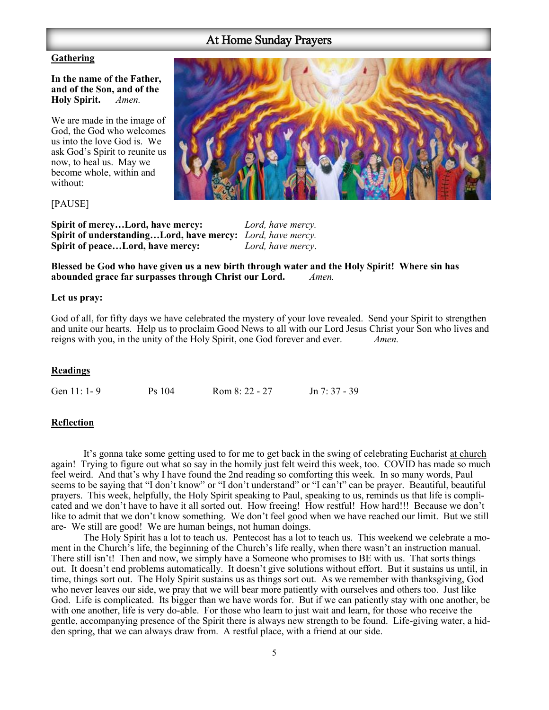## At Home Sunday Prayers

#### **Gathering**

**In the name of the Father, and of the Son, and of the Holy Spirit.** *Amen.*

We are made in the image of God, the God who welcomes us into the love God is. We ask God's Spirit to reunite us now, to heal us. May we become whole, within and without:

#### [PAUSE]

**Spirit of mercy…Lord, have mercy:** *Lord, have mercy.* **Spirit of understanding…Lord, have mercy:** *Lord, have mercy.* **Spirit of peace…Lord, have mercy:** *Lord, have mercy*.

**Blessed be God who have given us a new birth through water and the Holy Spirit! Where sin has abounded grace far surpasses through Christ our Lord.** *Amen.*

#### **Let us pray:**

God of all, for fifty days we have celebrated the mystery of your love revealed. Send your Spirit to strengthen and unite our hearts. Help us to proclaim Good News to all with our Lord Jesus Christ your Son who lives and reigns with you, in the unity of the Holy Spirit, one God forever and ever. *Amen.*

#### **Readings**

Gen 11: 1-9 Ps 104 Rom 8: 22 - 27 Jn 7: 37 - 39

#### **Reflection**

It's gonna take some getting used to for me to get back in the swing of celebrating Eucharist at church again! Trying to figure out what so say in the homily just felt weird this week, too. COVID has made so much feel weird. And that's why I have found the 2nd reading so comforting this week. In so many words, Paul seems to be saying that "I don't know" or "I don't understand" or "I can't" can be prayer. Beautiful, beautiful prayers. This week, helpfully, the Holy Spirit speaking to Paul, speaking to us, reminds us that life is complicated and we don't have to have it all sorted out. How freeing! How restful! How hard!!! Because we don't like to admit that we don't know something. We don't feel good when we have reached our limit. But we still are- We still are good! We are human beings, not human doings.

The Holy Spirit has a lot to teach us. Pentecost has a lot to teach us. This weekend we celebrate a moment in the Church's life, the beginning of the Church's life really, when there wasn't an instruction manual. There still isn't! Then and now, we simply have a Someone who promises to BE with us. That sorts things out. It doesn't end problems automatically. It doesn't give solutions without effort. But it sustains us until, in time, things sort out. The Holy Spirit sustains us as things sort out. As we remember with thanksgiving, God who never leaves our side, we pray that we will bear more patiently with ourselves and others too. Just like God. Life is complicated. Its bigger than we have words for. But if we can patiently stay with one another, be with one another, life is very do-able. For those who learn to just wait and learn, for those who receive the gentle, accompanying presence of the Spirit there is always new strength to be found. Life-giving water, a hidden spring, that we can always draw from. A restful place, with a friend at our side.